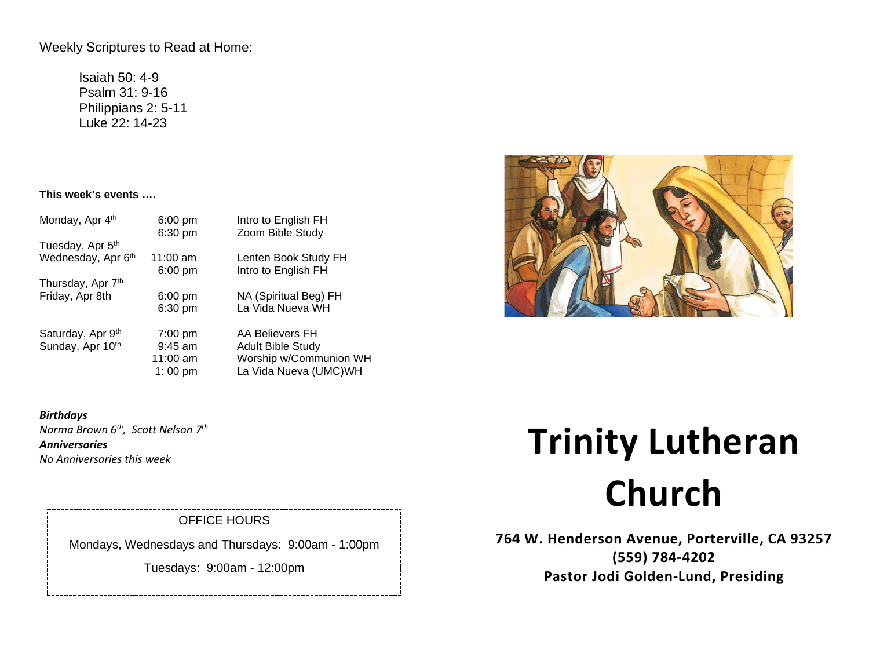Weekly Scriptures to Read at Home:

Isaiah 50: 4-9 Psalm 31: 9-16 Philippians 2: 5-11 Luke 22: 14-23

## **This week's events ….**

| Monday, Apr 4th              | $6:00$ pm         | Intro to English FH      |
|------------------------------|-------------------|--------------------------|
| Tuesday, Apr 5 <sup>th</sup> | 6:30 pm           | Zoom Bible Study         |
| Wednesday, Apr 6th           | $11:00$ am        | Lenten Book Study FH     |
| Thursday, Apr 7th            | $6:00$ pm         | Intro to English FH      |
| Friday, Apr 8th              | $6:00 \text{ pm}$ | NA (Spiritual Beg) FH    |
|                              | $6:30$ pm         | La Vida Nueva WH         |
| Saturday, Apr 9th            | $7:00 \text{ pm}$ | AA Believers FH          |
| Sunday, Apr 10th             | $9:45$ am         | <b>Adult Bible Study</b> |
|                              | $11:00$ am        | Worship w/Communion WH   |
|                              | 1:00 pm           | La Vida Nueva (UMC)WH    |

*Birthdays Norma Brown 6th, Scott Nelson 7th Anniversaries No Anniversaries this week* 

# OFFICE HOURS

Mondays, Wednesdays and Thursdays: 9:00am - 1:00pm

Tuesdays: 9:00am - 12:00pm

# **Trinity Lutheran Church**

**764 W. Henderson Avenue, Porterville, CA 93257 (559) 784-4202 Pastor Jodi Golden-Lund, Presiding**